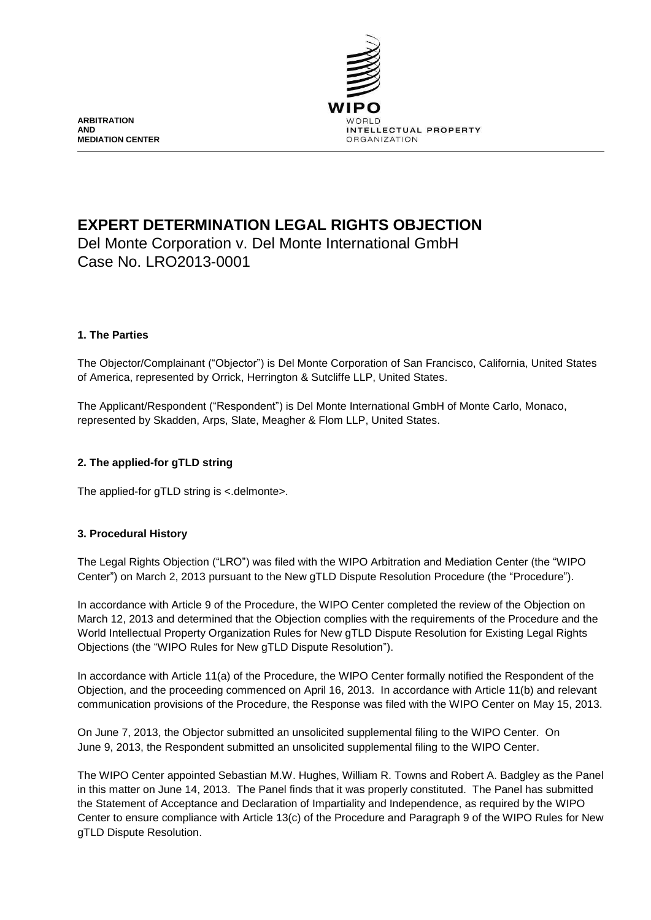

**ARBITRATION AND MEDIATION CENTER**

# **EXPERT DETERMINATION LEGAL RIGHTS OBJECTION**

Del Monte Corporation v. Del Monte International GmbH Case No. LRO2013-0001

# **1. The Parties**

The Objector/Complainant ("Objector") is Del Monte Corporation of San Francisco, California, United States of America, represented by Orrick, Herrington & Sutcliffe LLP, United States.

The Applicant/Respondent ("Respondent") is Del Monte International GmbH of Monte Carlo, Monaco, represented by Skadden, Arps, Slate, Meagher & Flom LLP, United States.

# **2. The applied-for gTLD string**

The applied-for gTLD string is <.delmonte>.

# **3. Procedural History**

The Legal Rights Objection ("LRO") was filed with the WIPO Arbitration and Mediation Center (the "WIPO Center") on March 2, 2013 pursuant to the New gTLD Dispute Resolution Procedure (the "Procedure").

In accordance with Article 9 of the Procedure, the WIPO Center completed the review of the Objection on March 12, 2013 and determined that the Objection complies with the requirements of the Procedure and the World Intellectual Property Organization Rules for New gTLD Dispute Resolution for Existing Legal Rights Objections (the "WIPO Rules for New gTLD Dispute Resolution").

In accordance with Article 11(a) of the Procedure, the WIPO Center formally notified the Respondent of the Objection, and the proceeding commenced on April 16, 2013. In accordance with Article 11(b) and relevant communication provisions of the Procedure, the Response was filed with the WIPO Center on May 15, 2013.

On June 7, 2013, the Objector submitted an unsolicited supplemental filing to the WIPO Center. On June 9, 2013, the Respondent submitted an unsolicited supplemental filing to the WIPO Center.

The WIPO Center appointed Sebastian M.W. Hughes, William R. Towns and Robert A. Badgley as the Panel in this matter on June 14, 2013. The Panel finds that it was properly constituted. The Panel has submitted the Statement of Acceptance and Declaration of Impartiality and Independence, as required by the WIPO Center to ensure compliance with Article 13(c) of the Procedure and Paragraph 9 of the WIPO Rules for New gTLD Dispute Resolution.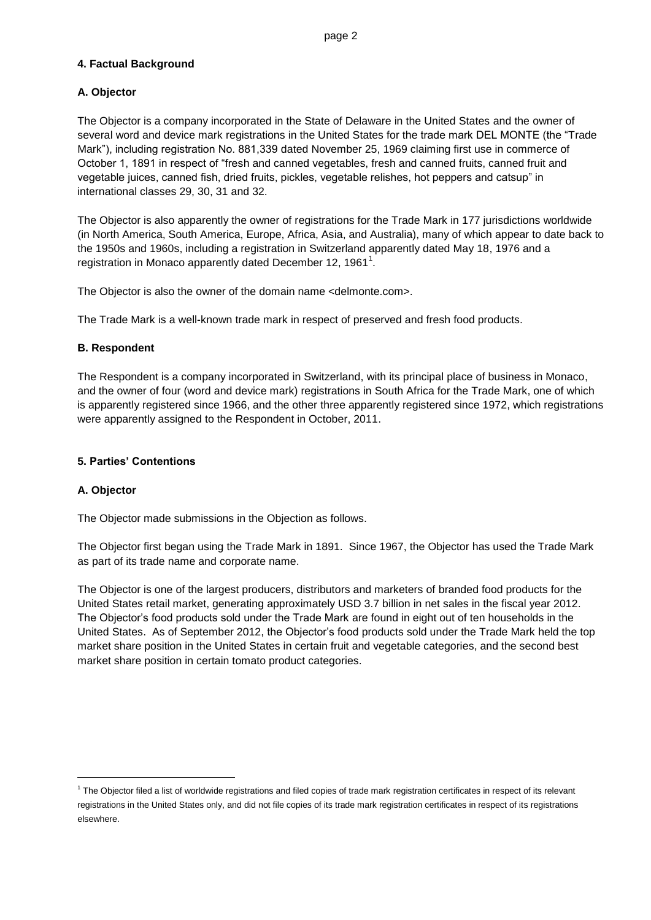# **4. Factual Background**

# **A. Objector**

The Objector is a company incorporated in the State of Delaware in the United States and the owner of several word and device mark registrations in the United States for the trade mark DEL MONTE (the "Trade Mark"), including registration No. 881,339 dated November 25, 1969 claiming first use in commerce of October 1, 1891 in respect of "fresh and canned vegetables, fresh and canned fruits, canned fruit and vegetable juices, canned fish, dried fruits, pickles, vegetable relishes, hot peppers and catsup" in international classes 29, 30, 31 and 32.

The Objector is also apparently the owner of registrations for the Trade Mark in 177 jurisdictions worldwide (in North America, South America, Europe, Africa, Asia, and Australia), many of which appear to date back to the 1950s and 1960s, including a registration in Switzerland apparently dated May 18, 1976 and a registration in Monaco apparently dated December 12, 1961 $^{\rm 1}.$ 

The Objector is also the owner of the domain name <delmonte.com>.

The Trade Mark is a well-known trade mark in respect of preserved and fresh food products.

# **B. Respondent**

The Respondent is a company incorporated in Switzerland, with its principal place of business in Monaco, and the owner of four (word and device mark) registrations in South Africa for the Trade Mark, one of which is apparently registered since 1966, and the other three apparently registered since 1972, which registrations were apparently assigned to the Respondent in October, 2011.

## **5. Parties' Contentions**

#### **A. Objector**

l

The Objector made submissions in the Objection as follows.

The Objector first began using the Trade Mark in 1891. Since 1967, the Objector has used the Trade Mark as part of its trade name and corporate name.

The Objector is one of the largest producers, distributors and marketers of branded food products for the United States retail market, generating approximately USD 3.7 billion in net sales in the fiscal year 2012. The Objector's food products sold under the Trade Mark are found in eight out of ten households in the United States. As of September 2012, the Objector's food products sold under the Trade Mark held the top market share position in the United States in certain fruit and vegetable categories, and the second best market share position in certain tomato product categories.

<sup>&</sup>lt;sup>1</sup> The Objector filed a list of worldwide registrations and filed copies of trade mark registration certificates in respect of its relevant registrations in the United States only, and did not file copies of its trade mark registration certificates in respect of its registrations elsewhere.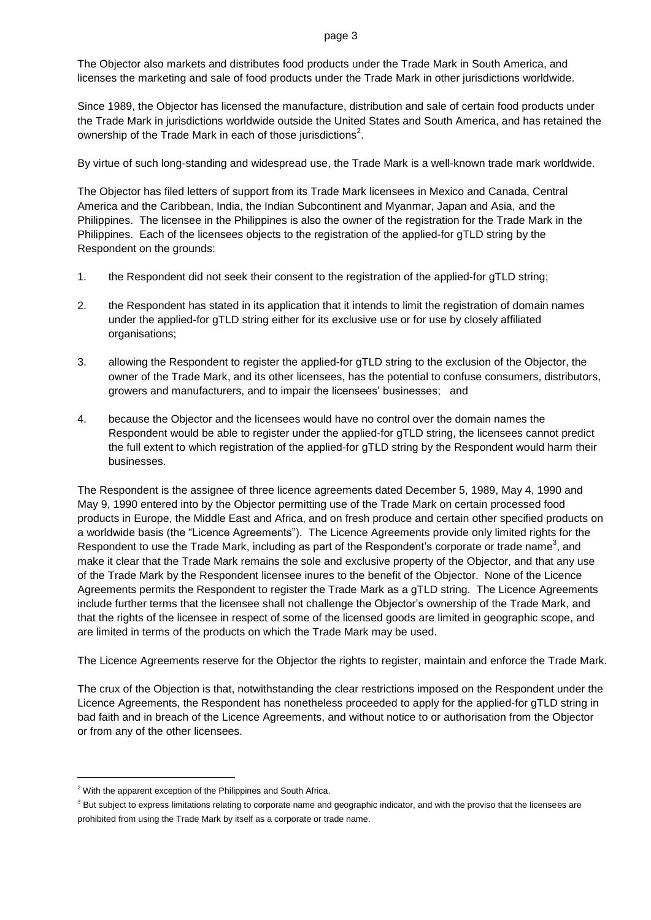The Objector also markets and distributes food products under the Trade Mark in South America, and licenses the marketing and sale of food products under the Trade Mark in other jurisdictions worldwide.

Since 1989, the Objector has licensed the manufacture, distribution and sale of certain food products under the Trade Mark in jurisdictions worldwide outside the United States and South America, and has retained the ownership of the Trade Mark in each of those jurisdictions $^2$ .

By virtue of such long-standing and widespread use, the Trade Mark is a well-known trade mark worldwide.

The Objector has filed letters of support from its Trade Mark licensees in Mexico and Canada, Central America and the Caribbean, India, the Indian Subcontinent and Myanmar, Japan and Asia, and the Philippines. The licensee in the Philippines is also the owner of the registration for the Trade Mark in the Philippines. Each of the licensees objects to the registration of the applied-for gTLD string by the Respondent on the grounds:

- 1. the Respondent did not seek their consent to the registration of the applied-for gTLD string;
- 2. the Respondent has stated in its application that it intends to limit the registration of domain names under the applied-for gTLD string either for its exclusive use or for use by closely affiliated organisations;
- 3. allowing the Respondent to register the applied-for gTLD string to the exclusion of the Objector, the owner of the Trade Mark, and its other licensees, has the potential to confuse consumers, distributors, growers and manufacturers, and to impair the licensees' businesses; and
- 4. because the Objector and the licensees would have no control over the domain names the Respondent would be able to register under the applied-for gTLD string, the licensees cannot predict the full extent to which registration of the applied-for gTLD string by the Respondent would harm their businesses.

The Respondent is the assignee of three licence agreements dated December 5, 1989, May 4, 1990 and May 9, 1990 entered into by the Objector permitting use of the Trade Mark on certain processed food products in Europe, the Middle East and Africa, and on fresh produce and certain other specified products on a worldwide basis (the "Licence Agreements"). The Licence Agreements provide only limited rights for the Respondent to use the Trade Mark, including as part of the Respondent's corporate or trade name<sup>3</sup>, and make it clear that the Trade Mark remains the sole and exclusive property of the Objector, and that any use of the Trade Mark by the Respondent licensee inures to the benefit of the Objector. None of the Licence Agreements permits the Respondent to register the Trade Mark as a gTLD string. The Licence Agreements include further terms that the licensee shall not challenge the Objector's ownership of the Trade Mark, and that the rights of the licensee in respect of some of the licensed goods are limited in geographic scope, and are limited in terms of the products on which the Trade Mark may be used.

The Licence Agreements reserve for the Objector the rights to register, maintain and enforce the Trade Mark.

The crux of the Objection is that, notwithstanding the clear restrictions imposed on the Respondent under the Licence Agreements, the Respondent has nonetheless proceeded to apply for the applied-for gTLD string in bad faith and in breach of the Licence Agreements, and without notice to or authorisation from the Objector or from any of the other licensees.

l

<sup>&</sup>lt;sup>2</sup> With the apparent exception of the Philippines and South Africa.

<sup>&</sup>lt;sup>3</sup> But subject to express limitations relating to corporate name and geographic indicator, and with the proviso that the licensees are prohibited from using the Trade Mark by itself as a corporate or trade name.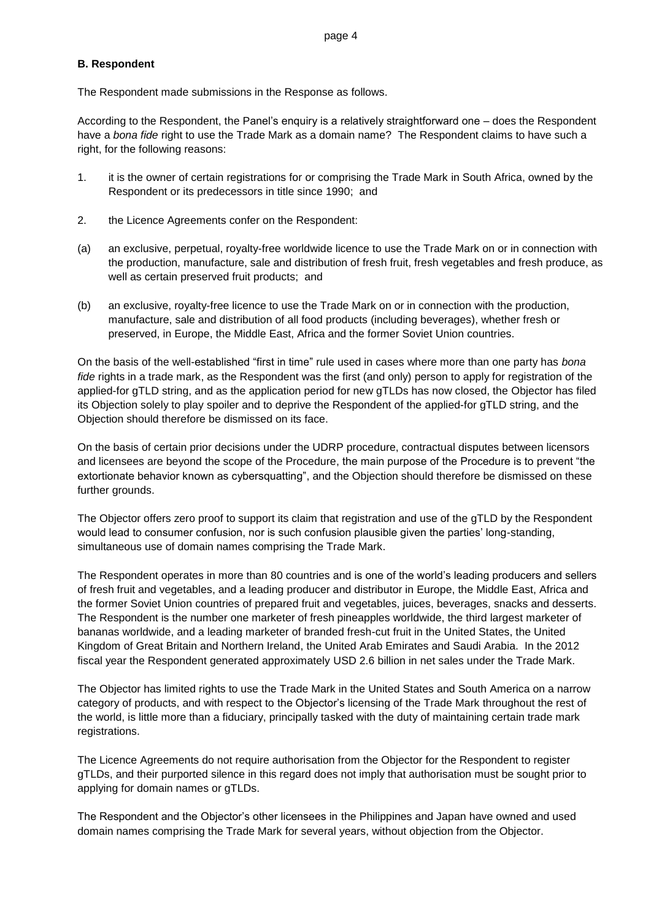#### **B. Respondent**

The Respondent made submissions in the Response as follows.

According to the Respondent, the Panel's enquiry is a relatively straightforward one – does the Respondent have a *bona fide* right to use the Trade Mark as a domain name? The Respondent claims to have such a right, for the following reasons:

- 1. it is the owner of certain registrations for or comprising the Trade Mark in South Africa, owned by the Respondent or its predecessors in title since 1990; and
- 2. the Licence Agreements confer on the Respondent:
- (a) an exclusive, perpetual, royalty-free worldwide licence to use the Trade Mark on or in connection with the production, manufacture, sale and distribution of fresh fruit, fresh vegetables and fresh produce, as well as certain preserved fruit products; and
- (b) an exclusive, royalty-free licence to use the Trade Mark on or in connection with the production, manufacture, sale and distribution of all food products (including beverages), whether fresh or preserved, in Europe, the Middle East, Africa and the former Soviet Union countries.

On the basis of the well-established "first in time" rule used in cases where more than one party has *bona fide* rights in a trade mark, as the Respondent was the first (and only) person to apply for registration of the applied-for gTLD string, and as the application period for new gTLDs has now closed, the Objector has filed its Objection solely to play spoiler and to deprive the Respondent of the applied-for gTLD string, and the Objection should therefore be dismissed on its face.

On the basis of certain prior decisions under the UDRP procedure, contractual disputes between licensors and licensees are beyond the scope of the Procedure, the main purpose of the Procedure is to prevent "the extortionate behavior known as cybersquatting", and the Objection should therefore be dismissed on these further grounds.

The Objector offers zero proof to support its claim that registration and use of the gTLD by the Respondent would lead to consumer confusion, nor is such confusion plausible given the parties' long-standing, simultaneous use of domain names comprising the Trade Mark.

The Respondent operates in more than 80 countries and is one of the world's leading producers and sellers of fresh fruit and vegetables, and a leading producer and distributor in Europe, the Middle East, Africa and the former Soviet Union countries of prepared fruit and vegetables, juices, beverages, snacks and desserts. The Respondent is the number one marketer of fresh pineapples worldwide, the third largest marketer of bananas worldwide, and a leading marketer of branded fresh-cut fruit in the United States, the United Kingdom of Great Britain and Northern Ireland, the United Arab Emirates and Saudi Arabia. In the 2012 fiscal year the Respondent generated approximately USD 2.6 billion in net sales under the Trade Mark.

The Objector has limited rights to use the Trade Mark in the United States and South America on a narrow category of products, and with respect to the Objector's licensing of the Trade Mark throughout the rest of the world, is little more than a fiduciary, principally tasked with the duty of maintaining certain trade mark registrations.

The Licence Agreements do not require authorisation from the Objector for the Respondent to register gTLDs, and their purported silence in this regard does not imply that authorisation must be sought prior to applying for domain names or gTLDs.

The Respondent and the Objector's other licensees in the Philippines and Japan have owned and used domain names comprising the Trade Mark for several years, without objection from the Objector.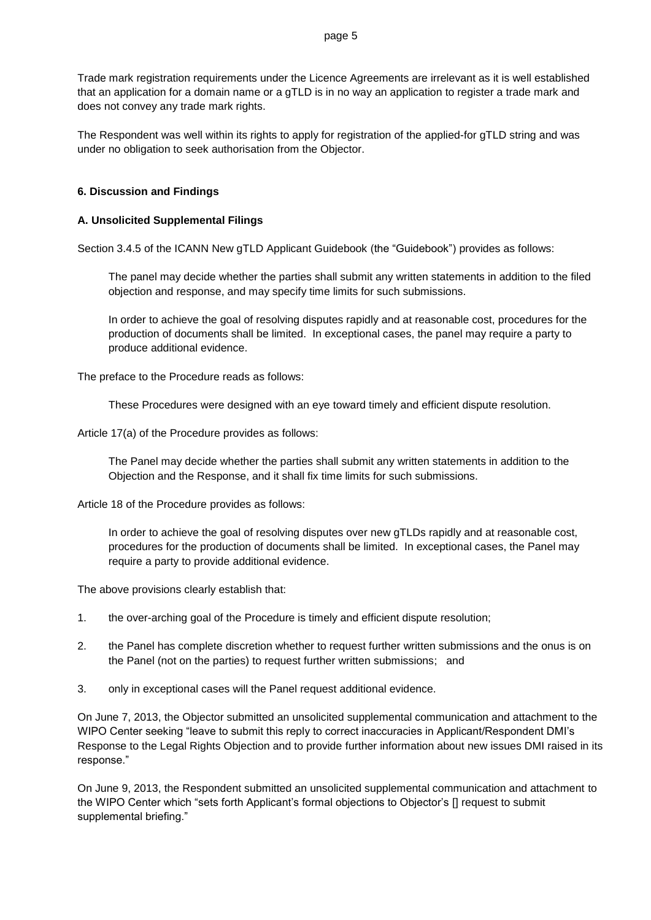Trade mark registration requirements under the Licence Agreements are irrelevant as it is well established that an application for a domain name or a gTLD is in no way an application to register a trade mark and does not convey any trade mark rights.

The Respondent was well within its rights to apply for registration of the applied-for gTLD string and was under no obligation to seek authorisation from the Objector.

## **6. Discussion and Findings**

# **A. Unsolicited Supplemental Filings**

Section 3.4.5 of the ICANN New gTLD Applicant Guidebook (the "Guidebook") provides as follows:

The panel may decide whether the parties shall submit any written statements in addition to the filed objection and response, and may specify time limits for such submissions.

In order to achieve the goal of resolving disputes rapidly and at reasonable cost, procedures for the production of documents shall be limited. In exceptional cases, the panel may require a party to produce additional evidence.

The preface to the Procedure reads as follows:

These Procedures were designed with an eye toward timely and efficient dispute resolution.

Article 17(a) of the Procedure provides as follows:

The Panel may decide whether the parties shall submit any written statements in addition to the Objection and the Response, and it shall fix time limits for such submissions.

Article 18 of the Procedure provides as follows:

In order to achieve the goal of resolving disputes over new gTLDs rapidly and at reasonable cost, procedures for the production of documents shall be limited. In exceptional cases, the Panel may require a party to provide additional evidence.

The above provisions clearly establish that:

- 1. the over-arching goal of the Procedure is timely and efficient dispute resolution;
- 2. the Panel has complete discretion whether to request further written submissions and the onus is on the Panel (not on the parties) to request further written submissions; and
- 3. only in exceptional cases will the Panel request additional evidence.

On June 7, 2013, the Objector submitted an unsolicited supplemental communication and attachment to the WIPO Center seeking "leave to submit this reply to correct inaccuracies in Applicant/Respondent DMI's Response to the Legal Rights Objection and to provide further information about new issues DMI raised in its response."

On June 9, 2013, the Respondent submitted an unsolicited supplemental communication and attachment to the WIPO Center which "sets forth Applicant's formal objections to Objector's [] request to submit supplemental briefing."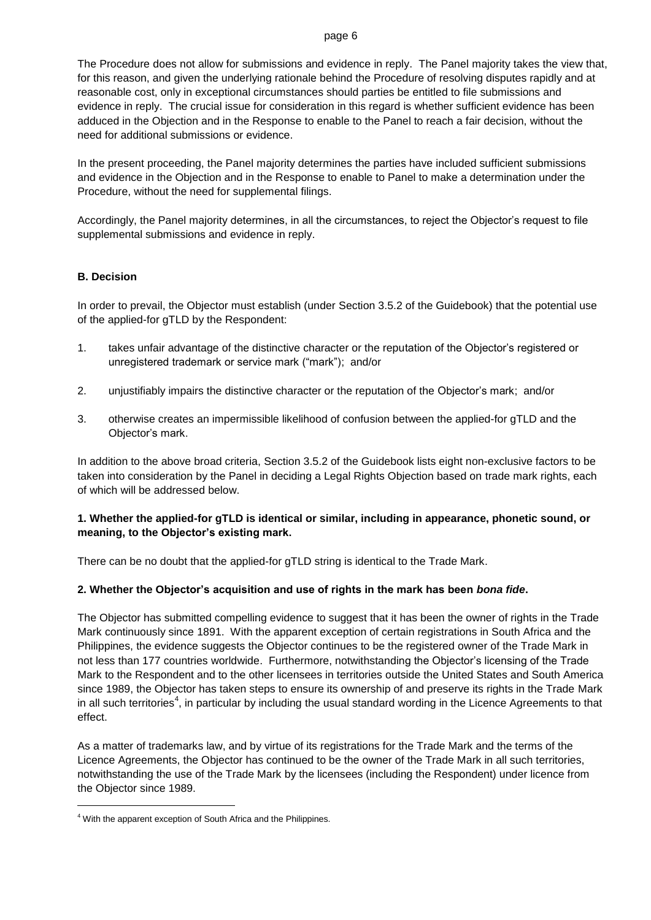#### page 6

The Procedure does not allow for submissions and evidence in reply. The Panel majority takes the view that, for this reason, and given the underlying rationale behind the Procedure of resolving disputes rapidly and at reasonable cost, only in exceptional circumstances should parties be entitled to file submissions and evidence in reply. The crucial issue for consideration in this regard is whether sufficient evidence has been adduced in the Objection and in the Response to enable to the Panel to reach a fair decision, without the need for additional submissions or evidence.

In the present proceeding, the Panel majority determines the parties have included sufficient submissions and evidence in the Objection and in the Response to enable to Panel to make a determination under the Procedure, without the need for supplemental filings.

Accordingly, the Panel majority determines, in all the circumstances, to reject the Objector's request to file supplemental submissions and evidence in reply.

#### **B. Decision**

In order to prevail, the Objector must establish (under Section 3.5.2 of the Guidebook) that the potential use of the applied-for gTLD by the Respondent:

- 1. takes unfair advantage of the distinctive character or the reputation of the Objector's registered or unregistered trademark or service mark ("mark"); and/or
- 2. unjustifiably impairs the distinctive character or the reputation of the Objector's mark; and/or
- 3. otherwise creates an impermissible likelihood of confusion between the applied-for gTLD and the Objector's mark.

In addition to the above broad criteria, Section 3.5.2 of the Guidebook lists eight non-exclusive factors to be taken into consideration by the Panel in deciding a Legal Rights Objection based on trade mark rights, each of which will be addressed below.

# **1. Whether the applied-for gTLD is identical or similar, including in appearance, phonetic sound, or meaning, to the Objector's existing mark.**

There can be no doubt that the applied-for gTLD string is identical to the Trade Mark.

# **2. Whether the Objector's acquisition and use of rights in the mark has been** *bona fide***.**

The Objector has submitted compelling evidence to suggest that it has been the owner of rights in the Trade Mark continuously since 1891. With the apparent exception of certain registrations in South Africa and the Philippines, the evidence suggests the Objector continues to be the registered owner of the Trade Mark in not less than 177 countries worldwide. Furthermore, notwithstanding the Objector's licensing of the Trade Mark to the Respondent and to the other licensees in territories outside the United States and South America since 1989, the Objector has taken steps to ensure its ownership of and preserve its rights in the Trade Mark in all such territories<sup>4</sup>, in particular by including the usual standard wording in the Licence Agreements to that effect.

As a matter of trademarks law, and by virtue of its registrations for the Trade Mark and the terms of the Licence Agreements, the Objector has continued to be the owner of the Trade Mark in all such territories, notwithstanding the use of the Trade Mark by the licensees (including the Respondent) under licence from the Objector since 1989.

l

<sup>4</sup> With the apparent exception of South Africa and the Philippines.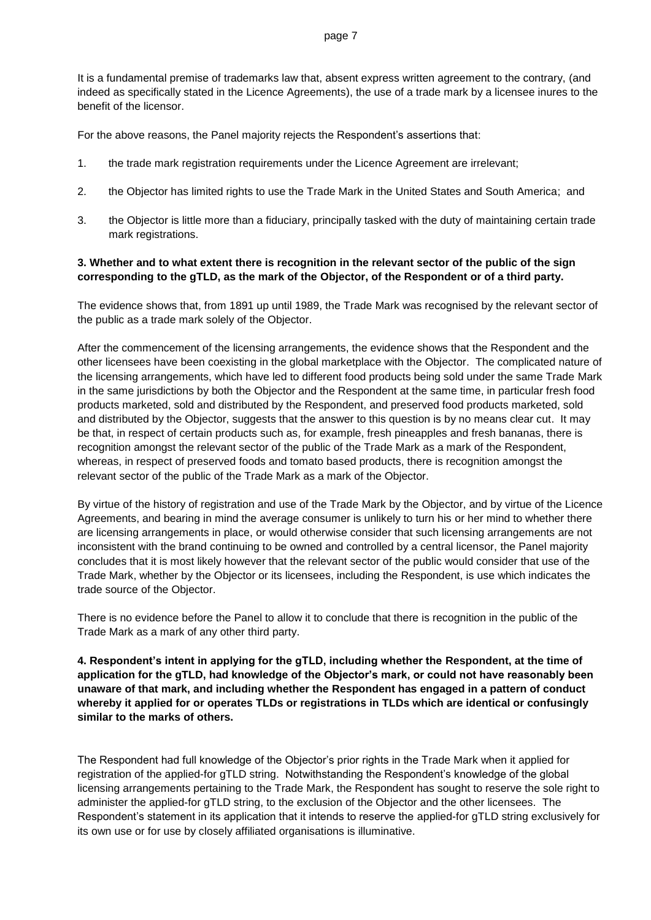It is a fundamental premise of trademarks law that, absent express written agreement to the contrary, (and indeed as specifically stated in the Licence Agreements), the use of a trade mark by a licensee inures to the benefit of the licensor.

For the above reasons, the Panel majority rejects the Respondent's assertions that:

- 1. the trade mark registration requirements under the Licence Agreement are irrelevant;
- 2. the Objector has limited rights to use the Trade Mark in the United States and South America; and
- 3. the Objector is little more than a fiduciary, principally tasked with the duty of maintaining certain trade mark registrations.

## **3. Whether and to what extent there is recognition in the relevant sector of the public of the sign corresponding to the gTLD, as the mark of the Objector, of the Respondent or of a third party.**

The evidence shows that, from 1891 up until 1989, the Trade Mark was recognised by the relevant sector of the public as a trade mark solely of the Objector.

After the commencement of the licensing arrangements, the evidence shows that the Respondent and the other licensees have been coexisting in the global marketplace with the Objector. The complicated nature of the licensing arrangements, which have led to different food products being sold under the same Trade Mark in the same jurisdictions by both the Objector and the Respondent at the same time, in particular fresh food products marketed, sold and distributed by the Respondent, and preserved food products marketed, sold and distributed by the Objector, suggests that the answer to this question is by no means clear cut. It may be that, in respect of certain products such as, for example, fresh pineapples and fresh bananas, there is recognition amongst the relevant sector of the public of the Trade Mark as a mark of the Respondent, whereas, in respect of preserved foods and tomato based products, there is recognition amongst the relevant sector of the public of the Trade Mark as a mark of the Objector.

By virtue of the history of registration and use of the Trade Mark by the Objector, and by virtue of the Licence Agreements, and bearing in mind the average consumer is unlikely to turn his or her mind to whether there are licensing arrangements in place, or would otherwise consider that such licensing arrangements are not inconsistent with the brand continuing to be owned and controlled by a central licensor, the Panel majority concludes that it is most likely however that the relevant sector of the public would consider that use of the Trade Mark, whether by the Objector or its licensees, including the Respondent, is use which indicates the trade source of the Objector.

There is no evidence before the Panel to allow it to conclude that there is recognition in the public of the Trade Mark as a mark of any other third party.

**4. Respondent's intent in applying for the gTLD, including whether the Respondent, at the time of application for the gTLD, had knowledge of the Objector's mark, or could not have reasonably been unaware of that mark, and including whether the Respondent has engaged in a pattern of conduct whereby it applied for or operates TLDs or registrations in TLDs which are identical or confusingly similar to the marks of others.** 

The Respondent had full knowledge of the Objector's prior rights in the Trade Mark when it applied for registration of the applied-for gTLD string. Notwithstanding the Respondent's knowledge of the global licensing arrangements pertaining to the Trade Mark, the Respondent has sought to reserve the sole right to administer the applied-for gTLD string, to the exclusion of the Objector and the other licensees. The Respondent's statement in its application that it intends to reserve the applied-for gTLD string exclusively for its own use or for use by closely affiliated organisations is illuminative.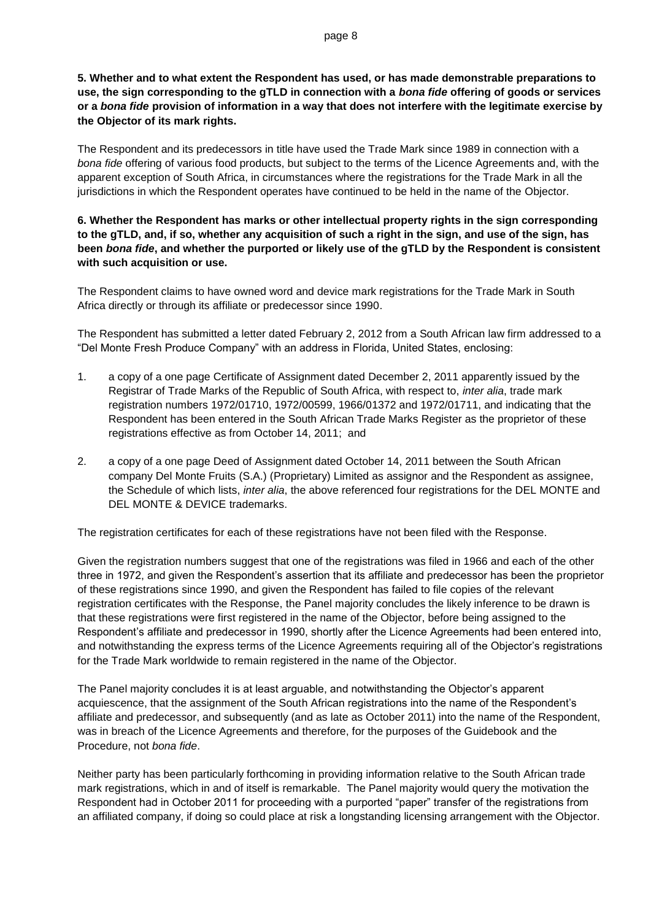The Respondent and its predecessors in title have used the Trade Mark since 1989 in connection with a *bona fide* offering of various food products, but subject to the terms of the Licence Agreements and, with the apparent exception of South Africa, in circumstances where the registrations for the Trade Mark in all the jurisdictions in which the Respondent operates have continued to be held in the name of the Objector.

# **6. Whether the Respondent has marks or other intellectual property rights in the sign corresponding to the gTLD, and, if so, whether any acquisition of such a right in the sign, and use of the sign, has been** *bona fide***, and whether the purported or likely use of the gTLD by the Respondent is consistent with such acquisition or use.**

The Respondent claims to have owned word and device mark registrations for the Trade Mark in South Africa directly or through its affiliate or predecessor since 1990.

The Respondent has submitted a letter dated February 2, 2012 from a South African law firm addressed to a "Del Monte Fresh Produce Company" with an address in Florida, United States, enclosing:

- 1. a copy of a one page Certificate of Assignment dated December 2, 2011 apparently issued by the Registrar of Trade Marks of the Republic of South Africa, with respect to, *inter alia*, trade mark registration numbers 1972/01710, 1972/00599, 1966/01372 and 1972/01711, and indicating that the Respondent has been entered in the South African Trade Marks Register as the proprietor of these registrations effective as from October 14, 2011; and
- 2. a copy of a one page Deed of Assignment dated October 14, 2011 between the South African company Del Monte Fruits (S.A.) (Proprietary) Limited as assignor and the Respondent as assignee, the Schedule of which lists, *inter alia*, the above referenced four registrations for the DEL MONTE and DEL MONTE & DEVICE trademarks.

The registration certificates for each of these registrations have not been filed with the Response.

Given the registration numbers suggest that one of the registrations was filed in 1966 and each of the other three in 1972, and given the Respondent's assertion that its affiliate and predecessor has been the proprietor of these registrations since 1990, and given the Respondent has failed to file copies of the relevant registration certificates with the Response, the Panel majority concludes the likely inference to be drawn is that these registrations were first registered in the name of the Objector, before being assigned to the Respondent's affiliate and predecessor in 1990, shortly after the Licence Agreements had been entered into, and notwithstanding the express terms of the Licence Agreements requiring all of the Objector's registrations for the Trade Mark worldwide to remain registered in the name of the Objector.

The Panel majority concludes it is at least arguable, and notwithstanding the Objector's apparent acquiescence, that the assignment of the South African registrations into the name of the Respondent's affiliate and predecessor, and subsequently (and as late as October 2011) into the name of the Respondent, was in breach of the Licence Agreements and therefore, for the purposes of the Guidebook and the Procedure, not *bona fide*.

Neither party has been particularly forthcoming in providing information relative to the South African trade mark registrations, which in and of itself is remarkable. The Panel majority would query the motivation the Respondent had in October 2011 for proceeding with a purported "paper" transfer of the registrations from an affiliated company, if doing so could place at risk a longstanding licensing arrangement with the Objector.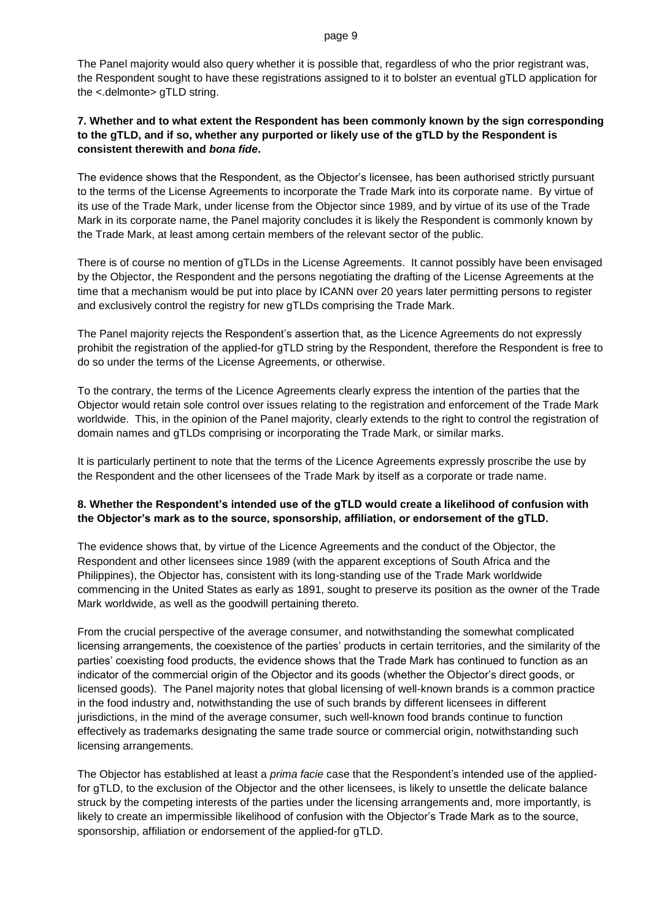#### page 9

The Panel majority would also query whether it is possible that, regardless of who the prior registrant was, the Respondent sought to have these registrations assigned to it to bolster an eventual gTLD application for the <.delmonte> gTLD string.

# **7. Whether and to what extent the Respondent has been commonly known by the sign corresponding to the gTLD, and if so, whether any purported or likely use of the gTLD by the Respondent is consistent therewith and** *bona fide***.**

The evidence shows that the Respondent, as the Objector's licensee, has been authorised strictly pursuant to the terms of the License Agreements to incorporate the Trade Mark into its corporate name. By virtue of its use of the Trade Mark, under license from the Objector since 1989, and by virtue of its use of the Trade Mark in its corporate name, the Panel majority concludes it is likely the Respondent is commonly known by the Trade Mark, at least among certain members of the relevant sector of the public.

There is of course no mention of gTLDs in the License Agreements. It cannot possibly have been envisaged by the Objector, the Respondent and the persons negotiating the drafting of the License Agreements at the time that a mechanism would be put into place by ICANN over 20 years later permitting persons to register and exclusively control the registry for new gTLDs comprising the Trade Mark.

The Panel majority rejects the Respondent's assertion that, as the Licence Agreements do not expressly prohibit the registration of the applied-for gTLD string by the Respondent, therefore the Respondent is free to do so under the terms of the License Agreements, or otherwise.

To the contrary, the terms of the Licence Agreements clearly express the intention of the parties that the Objector would retain sole control over issues relating to the registration and enforcement of the Trade Mark worldwide. This, in the opinion of the Panel majority, clearly extends to the right to control the registration of domain names and gTLDs comprising or incorporating the Trade Mark, or similar marks.

It is particularly pertinent to note that the terms of the Licence Agreements expressly proscribe the use by the Respondent and the other licensees of the Trade Mark by itself as a corporate or trade name.

# **8. Whether the Respondent's intended use of the gTLD would create a likelihood of confusion with the Objector's mark as to the source, sponsorship, affiliation, or endorsement of the gTLD.**

The evidence shows that, by virtue of the Licence Agreements and the conduct of the Objector, the Respondent and other licensees since 1989 (with the apparent exceptions of South Africa and the Philippines), the Objector has, consistent with its long-standing use of the Trade Mark worldwide commencing in the United States as early as 1891, sought to preserve its position as the owner of the Trade Mark worldwide, as well as the goodwill pertaining thereto.

From the crucial perspective of the average consumer, and notwithstanding the somewhat complicated licensing arrangements, the coexistence of the parties' products in certain territories, and the similarity of the parties' coexisting food products, the evidence shows that the Trade Mark has continued to function as an indicator of the commercial origin of the Objector and its goods (whether the Objector's direct goods, or licensed goods). The Panel majority notes that global licensing of well-known brands is a common practice in the food industry and, notwithstanding the use of such brands by different licensees in different jurisdictions, in the mind of the average consumer, such well-known food brands continue to function effectively as trademarks designating the same trade source or commercial origin, notwithstanding such licensing arrangements.

The Objector has established at least a *prima facie* case that the Respondent's intended use of the appliedfor gTLD, to the exclusion of the Objector and the other licensees, is likely to unsettle the delicate balance struck by the competing interests of the parties under the licensing arrangements and, more importantly, is likely to create an impermissible likelihood of confusion with the Objector's Trade Mark as to the source, sponsorship, affiliation or endorsement of the applied-for gTLD.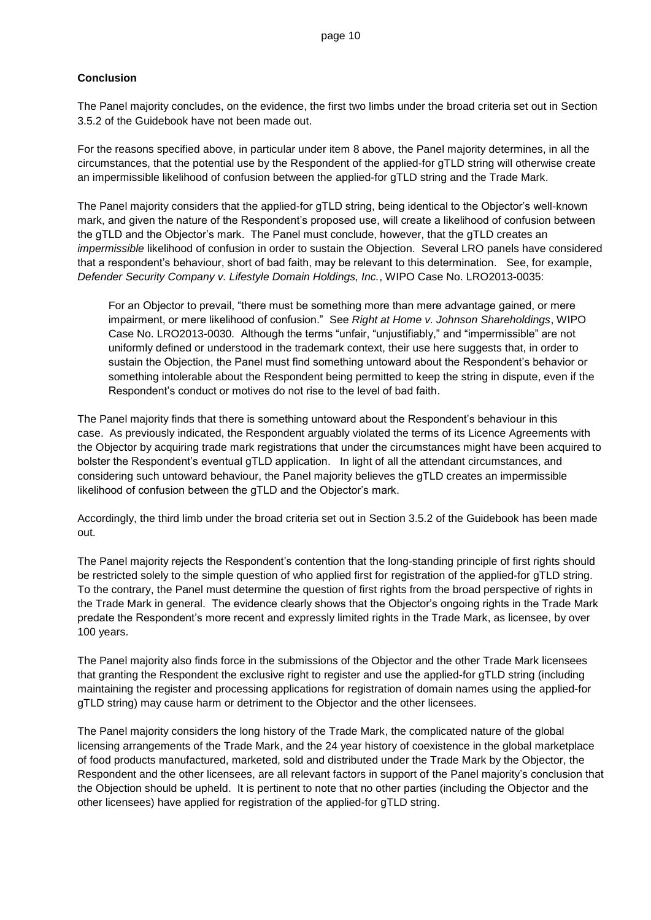#### **Conclusion**

The Panel majority concludes, on the evidence, the first two limbs under the broad criteria set out in Section 3.5.2 of the Guidebook have not been made out.

For the reasons specified above, in particular under item 8 above, the Panel majority determines, in all the circumstances, that the potential use by the Respondent of the applied-for gTLD string will otherwise create an impermissible likelihood of confusion between the applied-for gTLD string and the Trade Mark.

The Panel majority considers that the applied-for gTLD string, being identical to the Objector's well-known mark, and given the nature of the Respondent's proposed use, will create a likelihood of confusion between the gTLD and the Objector's mark. The Panel must conclude, however, that the gTLD creates an *impermissible* likelihood of confusion in order to sustain the Objection. Several LRO panels have considered that a respondent's behaviour, short of bad faith, may be relevant to this determination. See, for example, *Defender Security Company v. Lifestyle Domain Holdings, Inc.*, WIPO Case No. LRO2013-0035:

For an Objector to prevail, "there must be something more than mere advantage gained, or mere impairment, or mere likelihood of confusion." See *Right at Home v. Johnson Shareholdings*, WIPO Case No. LRO2013-0030*.* Although the terms "unfair, "unjustifiably," and "impermissible" are not uniformly defined or understood in the trademark context, their use here suggests that, in order to sustain the Objection, the Panel must find something untoward about the Respondent's behavior or something intolerable about the Respondent being permitted to keep the string in dispute, even if the Respondent's conduct or motives do not rise to the level of bad faith.

The Panel majority finds that there is something untoward about the Respondent's behaviour in this case. As previously indicated, the Respondent arguably violated the terms of its Licence Agreements with the Objector by acquiring trade mark registrations that under the circumstances might have been acquired to bolster the Respondent's eventual gTLD application. In light of all the attendant circumstances, and considering such untoward behaviour, the Panel majority believes the gTLD creates an impermissible likelihood of confusion between the gTLD and the Objector's mark.

Accordingly, the third limb under the broad criteria set out in Section 3.5.2 of the Guidebook has been made out.

The Panel majority rejects the Respondent's contention that the long-standing principle of first rights should be restricted solely to the simple question of who applied first for registration of the applied-for gTLD string. To the contrary, the Panel must determine the question of first rights from the broad perspective of rights in the Trade Mark in general. The evidence clearly shows that the Objector's ongoing rights in the Trade Mark predate the Respondent's more recent and expressly limited rights in the Trade Mark, as licensee, by over 100 years.

The Panel majority also finds force in the submissions of the Objector and the other Trade Mark licensees that granting the Respondent the exclusive right to register and use the applied-for gTLD string (including maintaining the register and processing applications for registration of domain names using the applied-for gTLD string) may cause harm or detriment to the Objector and the other licensees.

The Panel majority considers the long history of the Trade Mark, the complicated nature of the global licensing arrangements of the Trade Mark, and the 24 year history of coexistence in the global marketplace of food products manufactured, marketed, sold and distributed under the Trade Mark by the Objector, the Respondent and the other licensees, are all relevant factors in support of the Panel majority's conclusion that the Objection should be upheld. It is pertinent to note that no other parties (including the Objector and the other licensees) have applied for registration of the applied-for gTLD string.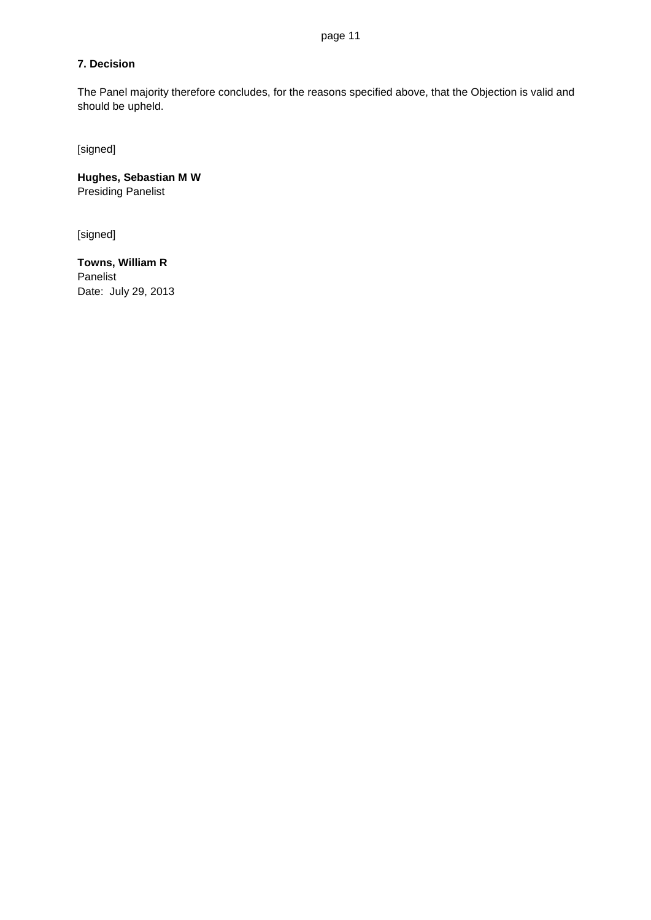# **7. Decision**

The Panel majority therefore concludes, for the reasons specified above, that the Objection is valid and should be upheld.

[signed]

**Hughes, Sebastian M W** Presiding Panelist

[signed]

**Towns, William R** Panelist Date: July 29, 2013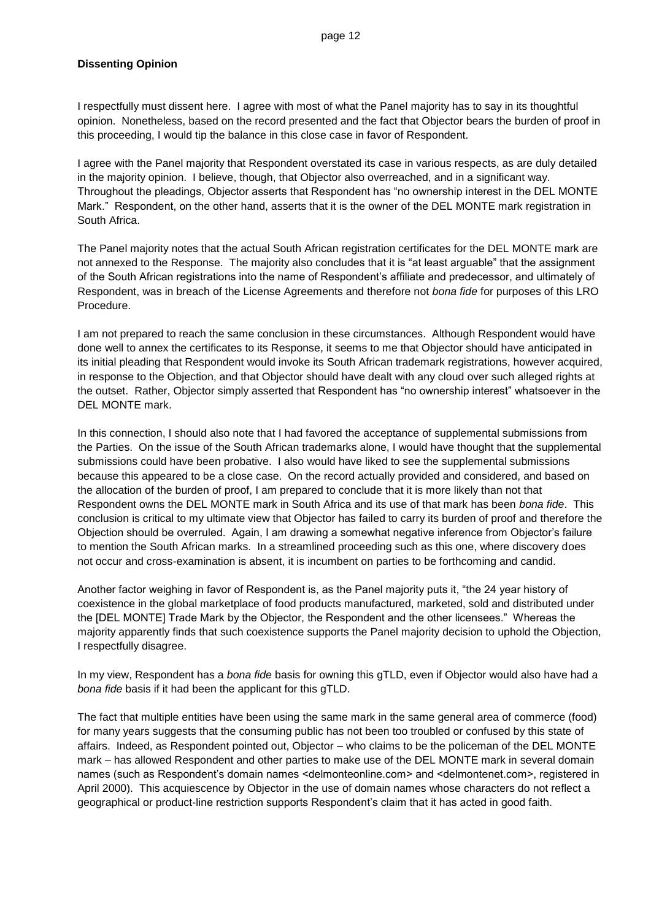#### **Dissenting Opinion**

I respectfully must dissent here. I agree with most of what the Panel majority has to say in its thoughtful opinion. Nonetheless, based on the record presented and the fact that Objector bears the burden of proof in this proceeding, I would tip the balance in this close case in favor of Respondent.

I agree with the Panel majority that Respondent overstated its case in various respects, as are duly detailed in the majority opinion. I believe, though, that Objector also overreached, and in a significant way. Throughout the pleadings, Objector asserts that Respondent has "no ownership interest in the DEL MONTE Mark." Respondent, on the other hand, asserts that it is the owner of the DEL MONTE mark registration in South Africa.

The Panel majority notes that the actual South African registration certificates for the DEL MONTE mark are not annexed to the Response. The majority also concludes that it is "at least arguable" that the assignment of the South African registrations into the name of Respondent's affiliate and predecessor, and ultimately of Respondent, was in breach of the License Agreements and therefore not *bona fide* for purposes of this LRO Procedure.

I am not prepared to reach the same conclusion in these circumstances. Although Respondent would have done well to annex the certificates to its Response, it seems to me that Objector should have anticipated in its initial pleading that Respondent would invoke its South African trademark registrations, however acquired, in response to the Objection, and that Objector should have dealt with any cloud over such alleged rights at the outset. Rather, Objector simply asserted that Respondent has "no ownership interest" whatsoever in the DEL MONTE mark.

In this connection, I should also note that I had favored the acceptance of supplemental submissions from the Parties. On the issue of the South African trademarks alone, I would have thought that the supplemental submissions could have been probative. I also would have liked to see the supplemental submissions because this appeared to be a close case. On the record actually provided and considered, and based on the allocation of the burden of proof, I am prepared to conclude that it is more likely than not that Respondent owns the DEL MONTE mark in South Africa and its use of that mark has been *bona fide*. This conclusion is critical to my ultimate view that Objector has failed to carry its burden of proof and therefore the Objection should be overruled. Again, I am drawing a somewhat negative inference from Objector's failure to mention the South African marks. In a streamlined proceeding such as this one, where discovery does not occur and cross-examination is absent, it is incumbent on parties to be forthcoming and candid.

Another factor weighing in favor of Respondent is, as the Panel majority puts it, "the 24 year history of coexistence in the global marketplace of food products manufactured, marketed, sold and distributed under the [DEL MONTE] Trade Mark by the Objector, the Respondent and the other licensees." Whereas the majority apparently finds that such coexistence supports the Panel majority decision to uphold the Objection, I respectfully disagree.

In my view, Respondent has a *bona fide* basis for owning this gTLD, even if Objector would also have had a *bona fide* basis if it had been the applicant for this gTLD.

The fact that multiple entities have been using the same mark in the same general area of commerce (food) for many years suggests that the consuming public has not been too troubled or confused by this state of affairs. Indeed, as Respondent pointed out, Objector – who claims to be the policeman of the DEL MONTE mark – has allowed Respondent and other parties to make use of the DEL MONTE mark in several domain names (such as Respondent's domain names <delmonteonline.com> and <delmontenet.com>, registered in April 2000). This acquiescence by Objector in the use of domain names whose characters do not reflect a geographical or product-line restriction supports Respondent's claim that it has acted in good faith.